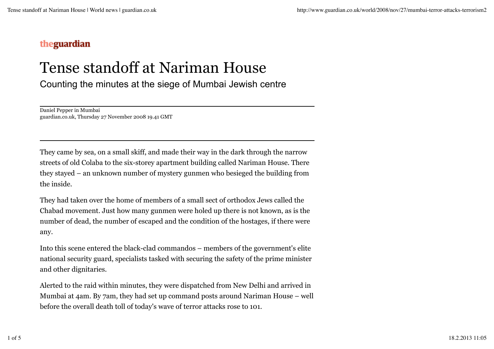## theguardian

## Tense standoff at Nariman House

Counting the minutes at the siege of Mumbai Jewish centre

Daniel Pepper in Mumbai guardian.co.uk, Thursday 27 November 2008 19.41 GMT

They came by sea, on a small skiff, and made their way in the dark through the narrow streets of old Colaba to the six-storey apartment building called Nariman House. There they stayed – an unknown number of mystery gunmen who besieged the building from the inside.

They had taken over the home of members of a small sect of orthodox Jews called the Chabad movement. Just how many gunmen were holed up there is not known, as is the number of dead, the number of escaped and the condition of the hostages, if there were any.

Into this scene entered the black-clad commandos – members of the government's elite national security guard, specialists tasked with securing the safety of the prime minister and other dignitaries.

Alerted to the raid within minutes, they were dispatched from New Delhi and arrived in Mumbai at 4am. By 7am, they had set up command posts around Nariman House – well before the overall death toll of today's wave of terror attacks rose to 101.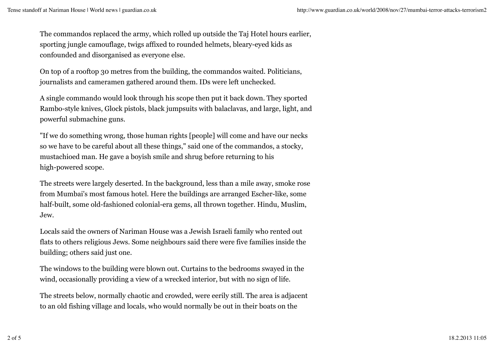The commandos replaced the army, which rolled up outside the Taj Hotel hours earlier, sporting jungle camouflage, twigs affixed to rounded helmets, bleary-eyed kids as confounded and disorganised as everyone else.

On top of a rooftop 30 metres from the building, the commandos waited. Politicians, journalists and cameramen gathered around them. IDs were left unchecked.

A single commando would look through his scope then put it back down. They sported Rambo-style knives, Glock pistols, black jumpsuits with balaclavas, and large, light, and powerful submachine guns.

"If we do something wrong, those human rights [people] will come and have our necks so we have to be careful about all these things," said one of the commandos, a stocky, mustachioed man. He gave a boyish smile and shrug before returning to his high-powered scope.

The streets were largely deserted. In the background, less than a mile away, smoke rose from Mumbai's most famous hotel. Here the buildings are arranged Escher-like, some half-built, some old-fashioned colonial-era gems, all thrown together. Hindu, Muslim, Jew.

Locals said the owners of Nariman House was a Jewish Israeli family who rented out flats to others religious Jews. Some neighbours said there were five families inside the building; others said just one.

The windows to the building were blown out. Curtains to the bedrooms swayed in the wind, occasionally providing a view of a wrecked interior, but with no sign of life.

The streets below, normally chaotic and crowded, were eerily still. The area is adjacent to an old fishing village and locals, who would normally be out in their boats on the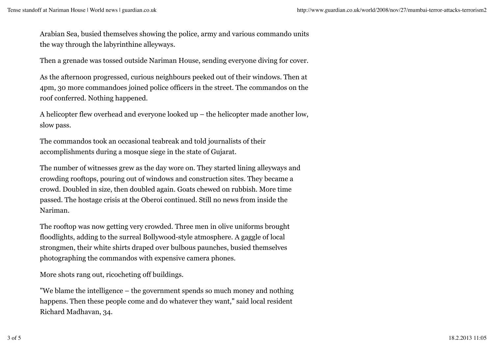Arabian Sea, busied themselves showing the police, army and various commando units the way through the labyrinthine alleyways.

Then a grenade was tossed outside Nariman House, sending everyone diving for cover.

As the afternoon progressed, curious neighbours peeked out of their windows. Then at 4pm, 30 more commandoes joined police officers in the street. The commandos on the roof conferred. Nothing happened.

A helicopter flew overhead and everyone looked up – the helicopter made another low, slow pass.

The commandos took an occasional teabreak and told journalists of their accomplishments during a mosque siege in the state of Gujarat.

The number of witnesses grew as the day wore on. They started lining alleyways and crowding rooftops, pouring out of windows and construction sites. They became a crowd. Doubled in size, then doubled again. Goats chewed on rubbish. More time passed. The hostage crisis at the Oberoi continued. Still no news from inside the Nariman.

The rooftop was now getting very crowded. Three men in olive uniforms brought floodlights, adding to the surreal Bollywood-style atmosphere. A gaggle of local strongmen, their white shirts draped over bulbous paunches, busied themselves photographing the commandos with expensive camera phones.

More shots rang out, ricocheting off buildings.

"We blame the intelligence – the government spends so much money and nothing happens. Then these people come and do whatever they want," said local resident Richard Madhavan, 34.